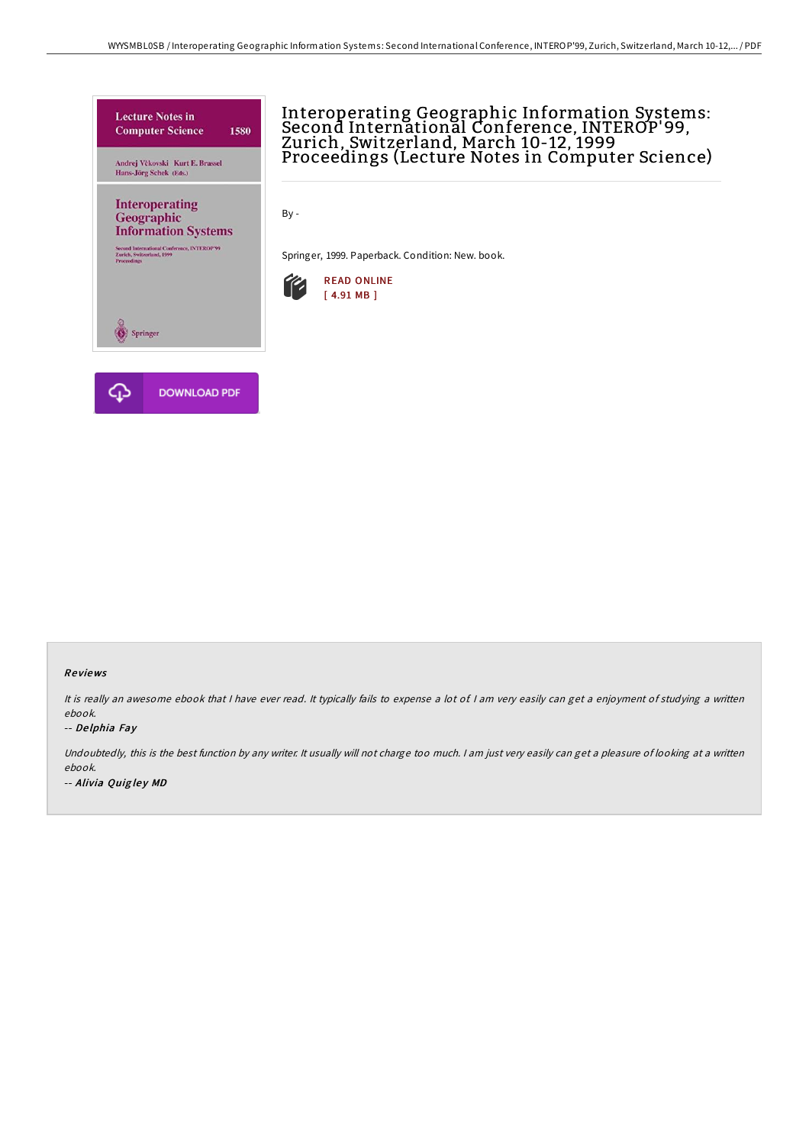

# Interoperating Geographic Information Systems: Second International Conference, INTEROP'99, Zurich, Switzerland, March 10-12, 1999 Proceedings (Lecture Notes in Computer Science)

By -

Springer, 1999. Paperback. Condition: New. book.



#### Re views

It is really an awesome ebook that I have ever read. It typically fails to expense a lot of I am very easily can get a enjoyment of studying a written ebook.

#### -- De lphia Fay

Undoubtedly, this is the best function by any writer. It usually will not charge too much. I am just very easily can get a pleasure of looking at a written ebook. -- Alivia Quigley MD